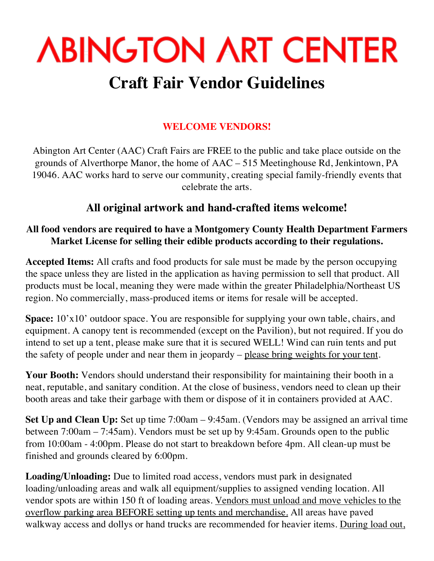# **ABINGTON ART CENTER**

# **Craft Fair Vendor Guidelines**

### **WELCOME VENDORS!**

Abington Art Center (AAC) Craft Fairs are FREE to the public and take place outside on the grounds of Alverthorpe Manor, the home of AAC – 515 Meetinghouse Rd, Jenkintown, PA 19046. AAC works hard to serve our community, creating special family-friendly events that celebrate the arts.

# **All original artwork and hand-crafted items welcome!**

#### **All food vendors are required to have a Montgomery County Health Department Farmers Market License for selling their edible products according to their regulations.**

**Accepted Items:** All crafts and food products for sale must be made by the person occupying the space unless they are listed in the application as having permission to sell that product. All products must be local, meaning they were made within the greater Philadelphia/Northeast US region. No commercially, mass-produced items or items for resale will be accepted.

**Space:** 10'x10' outdoor space. You are responsible for supplying your own table, chairs, and equipment. A canopy tent is recommended (except on the Pavilion), but not required. If you do intend to set up a tent, please make sure that it is secured WELL! Wind can ruin tents and put the safety of people under and near them in jeopardy – please bring weights for your tent.

Your Booth: Vendors should understand their responsibility for maintaining their booth in a neat, reputable, and sanitary condition. At the close of business, vendors need to clean up their booth areas and take their garbage with them or dispose of it in containers provided at AAC.

**Set Up and Clean Up:** Set up time 7:00am – 9:45am. (Vendors may be assigned an arrival time between 7:00am – 7:45am). Vendors must be set up by 9:45am. Grounds open to the public from 10:00am - 4:00pm. Please do not start to breakdown before 4pm. All clean-up must be finished and grounds cleared by 6:00pm.

**Loading/Unloading:** Due to limited road access, vendors must park in designated loading/unloading areas and walk all equipment/supplies to assigned vending location. All vendor spots are within 150 ft of loading areas. Vendors must unload and move vehicles to the overflow parking area BEFORE setting up tents and merchandise. All areas have paved walkway access and dollys or hand trucks are recommended for heavier items. During load out,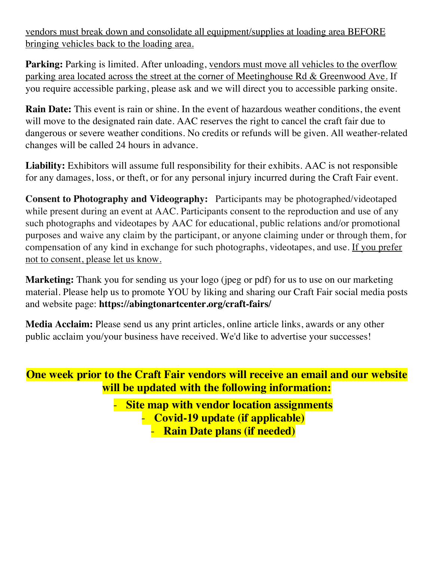vendors must break down and consolidate all equipment/supplies at loading area BEFORE bringing vehicles back to the loading area.

**Parking:** Parking is limited. After unloading, vendors must move all vehicles to the overflow parking area located across the street at the corner of Meetinghouse Rd & Greenwood Ave. If you require accessible parking, please ask and we will direct you to accessible parking onsite.

**Rain Date:** This event is rain or shine. In the event of hazardous weather conditions, the event will move to the designated rain date. AAC reserves the right to cancel the craft fair due to dangerous or severe weather conditions. No credits or refunds will be given. All weather-related changes will be called 24 hours in advance.

**Liability:** Exhibitors will assume full responsibility for their exhibits. AAC is not responsible for any damages, loss, or theft, or for any personal injury incurred during the Craft Fair event.

**Consent to Photography and Videography:** Participants may be photographed/videotaped while present during an event at AAC. Participants consent to the reproduction and use of any such photographs and videotapes by AAC for educational, public relations and/or promotional purposes and waive any claim by the participant, or anyone claiming under or through them, for compensation of any kind in exchange for such photographs, videotapes, and use. If you prefer not to consent, please let us know.

**Marketing:** Thank you for sending us your logo (jpeg or pdf) for us to use on our marketing material. Please help us to promote YOU by liking and sharing our Craft Fair social media posts and website page: **https://abingtonartcenter.org/craft-fairs/**

**Media Acclaim:** Please send us any print articles, online article links, awards or any other public acclaim you/your business have received. We'd like to advertise your successes!

## **One week prior to the Craft Fair vendors will receive an email and our website will be updated with the following information:**

- **Site map with vendor location assignments** - **Covid-19 update (if applicable)** - **Rain Date plans (if needed)**